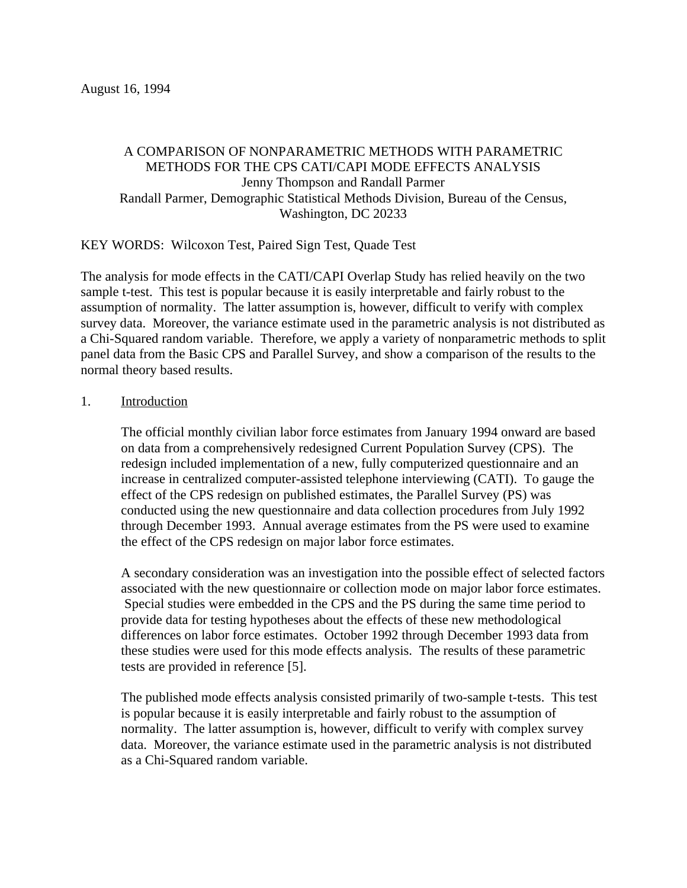## A COMPARISON OF NONPARAMETRIC METHODS WITH PARAMETRIC METHODS FOR THE CPS CATI/CAPI MODE EFFECTS ANALYSIS Jenny Thompson and Randall Parmer Randall Parmer, Demographic Statistical Methods Division, Bureau of the Census, Washington, DC 20233

KEY WORDS: Wilcoxon Test, Paired Sign Test, Quade Test

The analysis for mode effects in the CATI/CAPI Overlap Study has relied heavily on the two sample t-test. This test is popular because it is easily interpretable and fairly robust to the assumption of normality. The latter assumption is, however, difficult to verify with complex survey data. Moreover, the variance estimate used in the parametric analysis is not distributed as a Chi-Squared random variable. Therefore, we apply a variety of nonparametric methods to split panel data from the Basic CPS and Parallel Survey, and show a comparison of the results to the normal theory based results.

## 1. Introduction

The official monthly civilian labor force estimates from January 1994 onward are based on data from a comprehensively redesigned Current Population Survey (CPS). The redesign included implementation of a new, fully computerized questionnaire and an increase in centralized computer-assisted telephone interviewing (CATI). To gauge the effect of the CPS redesign on published estimates, the Parallel Survey (PS) was conducted using the new questionnaire and data collection procedures from July 1992 through December 1993. Annual average estimates from the PS were used to examine the effect of the CPS redesign on major labor force estimates.

A secondary consideration was an investigation into the possible effect of selected factors associated with the new questionnaire or collection mode on major labor force estimates. Special studies were embedded in the CPS and the PS during the same time period to provide data for testing hypotheses about the effects of these new methodological differences on labor force estimates. October 1992 through December 1993 data from these studies were used for this mode effects analysis. The results of these parametric tests are provided in reference [5].

The published mode effects analysis consisted primarily of two-sample t-tests. This test is popular because it is easily interpretable and fairly robust to the assumption of normality. The latter assumption is, however, difficult to verify with complex survey data. Moreover, the variance estimate used in the parametric analysis is not distributed as a Chi-Squared random variable.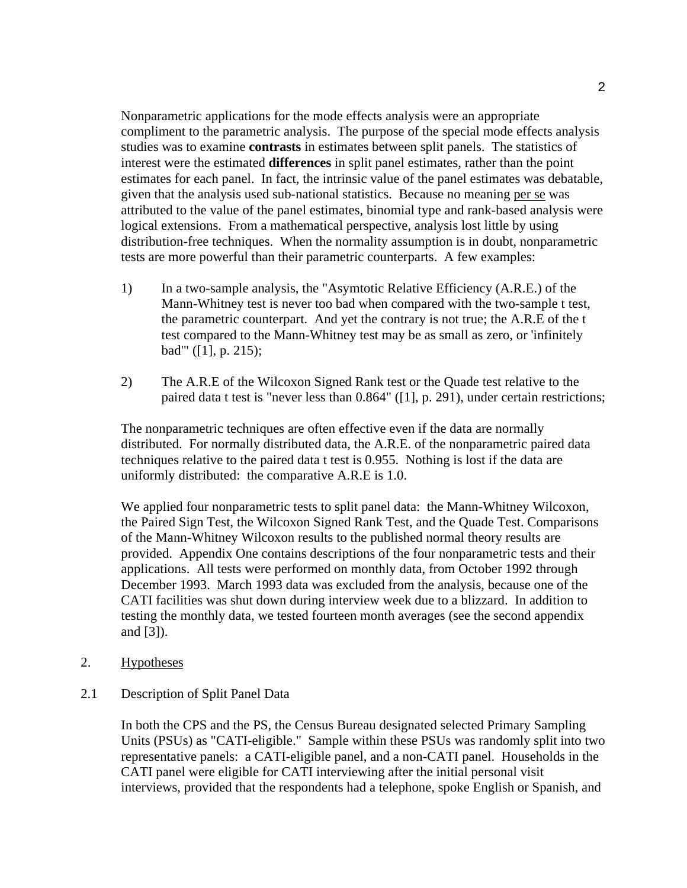Nonparametric applications for the mode effects analysis were an appropriate compliment to the parametric analysis. The purpose of the special mode effects analysis studies was to examine **contrasts** in estimates between split panels. The statistics of interest were the estimated **differences** in split panel estimates, rather than the point estimates for each panel. In fact, the intrinsic value of the panel estimates was debatable, given that the analysis used sub-national statistics. Because no meaning per se was attributed to the value of the panel estimates, binomial type and rank-based analysis were logical extensions. From a mathematical perspective, analysis lost little by using distribution-free techniques. When the normality assumption is in doubt, nonparametric tests are more powerful than their parametric counterparts. A few examples:

- 1) In a two-sample analysis, the "Asymtotic Relative Efficiency (A.R.E.) of the Mann-Whitney test is never too bad when compared with the two-sample t test, the parametric counterpart. And yet the contrary is not true; the A.R.E of the t test compared to the Mann-Whitney test may be as small as zero, or 'infinitely bad'" ([1], p. 215);
- 2) The A.R.E of the Wilcoxon Signed Rank test or the Quade test relative to the paired data t test is "never less than 0.864" ([1], p. 291), under certain restrictions;

The nonparametric techniques are often effective even if the data are normally distributed. For normally distributed data, the A.R.E. of the nonparametric paired data techniques relative to the paired data t test is 0.955. Nothing is lost if the data are uniformly distributed: the comparative A.R.E is 1.0.

We applied four nonparametric tests to split panel data: the Mann-Whitney Wilcoxon, the Paired Sign Test, the Wilcoxon Signed Rank Test, and the Quade Test. Comparisons of the Mann-Whitney Wilcoxon results to the published normal theory results are provided. Appendix One contains descriptions of the four nonparametric tests and their applications. All tests were performed on monthly data, from October 1992 through December 1993. March 1993 data was excluded from the analysis, because one of the CATI facilities was shut down during interview week due to a blizzard. In addition to testing the monthly data, we tested fourteen month averages (see the second appendix and [3]).

- 2. Hypotheses
- 2.1 Description of Split Panel Data

In both the CPS and the PS, the Census Bureau designated selected Primary Sampling Units (PSUs) as "CATI-eligible." Sample within these PSUs was randomly split into two representative panels: a CATI-eligible panel, and a non-CATI panel. Households in the CATI panel were eligible for CATI interviewing after the initial personal visit interviews, provided that the respondents had a telephone, spoke English or Spanish, and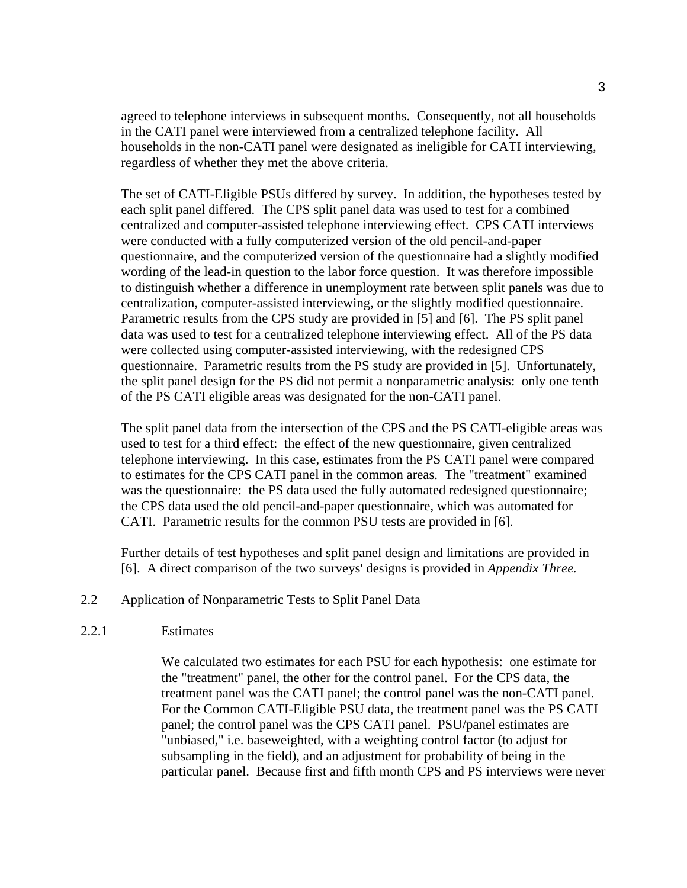agreed to telephone interviews in subsequent months. Consequently, not all households in the CATI panel were interviewed from a centralized telephone facility. All households in the non-CATI panel were designated as ineligible for CATI interviewing, regardless of whether they met the above criteria.

The set of CATI-Eligible PSUs differed by survey. In addition, the hypotheses tested by each split panel differed. The CPS split panel data was used to test for a combined centralized and computer-assisted telephone interviewing effect. CPS CATI interviews were conducted with a fully computerized version of the old pencil-and-paper questionnaire, and the computerized version of the questionnaire had a slightly modified wording of the lead-in question to the labor force question. It was therefore impossible to distinguish whether a difference in unemployment rate between split panels was due to centralization, computer-assisted interviewing, or the slightly modified questionnaire. Parametric results from the CPS study are provided in [5] and [6]. The PS split panel data was used to test for a centralized telephone interviewing effect. All of the PS data were collected using computer-assisted interviewing, with the redesigned CPS questionnaire. Parametric results from the PS study are provided in [5]. Unfortunately, the split panel design for the PS did not permit a nonparametric analysis: only one tenth of the PS CATI eligible areas was designated for the non-CATI panel.

The split panel data from the intersection of the CPS and the PS CATI-eligible areas was used to test for a third effect: the effect of the new questionnaire, given centralized telephone interviewing. In this case, estimates from the PS CATI panel were compared to estimates for the CPS CATI panel in the common areas. The "treatment" examined was the questionnaire: the PS data used the fully automated redesigned questionnaire; the CPS data used the old pencil-and-paper questionnaire, which was automated for CATI. Parametric results for the common PSU tests are provided in [6].

Further details of test hypotheses and split panel design and limitations are provided in [6]. A direct comparison of the two surveys' designs is provided in *Appendix Three.*

2.2 Application of Nonparametric Tests to Split Panel Data

## 2.2.1 Estimates

We calculated two estimates for each PSU for each hypothesis: one estimate for the "treatment" panel, the other for the control panel. For the CPS data, the treatment panel was the CATI panel; the control panel was the non-CATI panel. For the Common CATI-Eligible PSU data, the treatment panel was the PS CATI panel; the control panel was the CPS CATI panel. PSU/panel estimates are "unbiased," i.e. baseweighted, with a weighting control factor (to adjust for subsampling in the field), and an adjustment for probability of being in the particular panel. Because first and fifth month CPS and PS interviews were never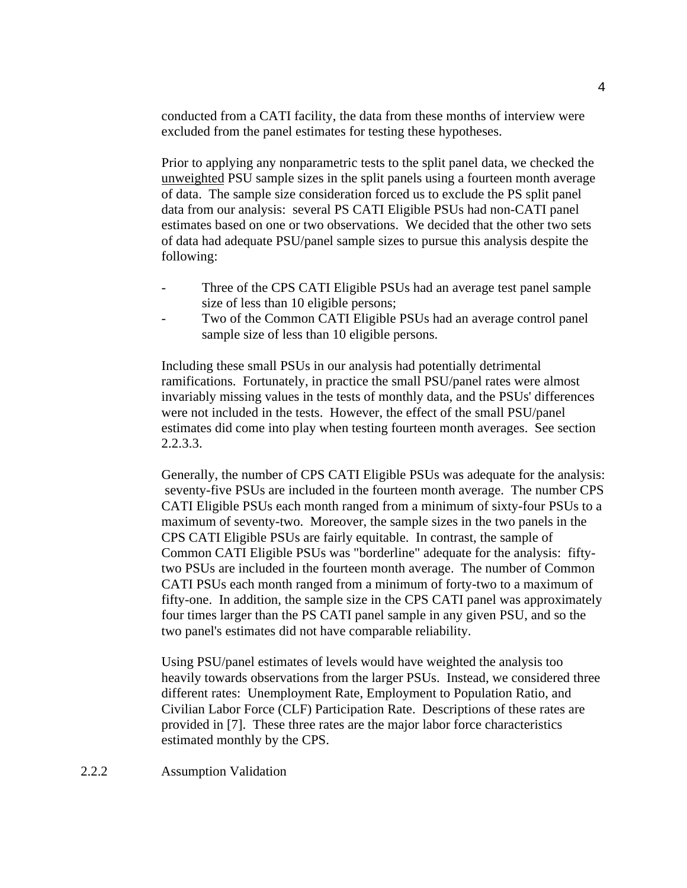conducted from a CATI facility, the data from these months of interview were excluded from the panel estimates for testing these hypotheses.

Prior to applying any nonparametric tests to the split panel data, we checked the unweighted PSU sample sizes in the split panels using a fourteen month average of data. The sample size consideration forced us to exclude the PS split panel data from our analysis: several PS CATI Eligible PSUs had non-CATI panel estimates based on one or two observations. We decided that the other two sets of data had adequate PSU/panel sample sizes to pursue this analysis despite the following:

- Three of the CPS CATI Eligible PSUs had an average test panel sample size of less than 10 eligible persons;
- Two of the Common CATI Eligible PSUs had an average control panel sample size of less than 10 eligible persons.

Including these small PSUs in our analysis had potentially detrimental ramifications. Fortunately, in practice the small PSU/panel rates were almost invariably missing values in the tests of monthly data, and the PSUs' differences were not included in the tests. However, the effect of the small PSU/panel estimates did come into play when testing fourteen month averages. See section 2.2.3.3.

Generally, the number of CPS CATI Eligible PSUs was adequate for the analysis: seventy-five PSUs are included in the fourteen month average. The number CPS CATI Eligible PSUs each month ranged from a minimum of sixty-four PSUs to a maximum of seventy-two. Moreover, the sample sizes in the two panels in the CPS CATI Eligible PSUs are fairly equitable. In contrast, the sample of Common CATI Eligible PSUs was "borderline" adequate for the analysis: fiftytwo PSUs are included in the fourteen month average. The number of Common CATI PSUs each month ranged from a minimum of forty-two to a maximum of fifty-one. In addition, the sample size in the CPS CATI panel was approximately four times larger than the PS CATI panel sample in any given PSU, and so the two panel's estimates did not have comparable reliability.

Using PSU/panel estimates of levels would have weighted the analysis too heavily towards observations from the larger PSUs. Instead, we considered three different rates: Unemployment Rate, Employment to Population Ratio, and Civilian Labor Force (CLF) Participation Rate. Descriptions of these rates are provided in [7]. These three rates are the major labor force characteristics estimated monthly by the CPS.

2.2.2 Assumption Validation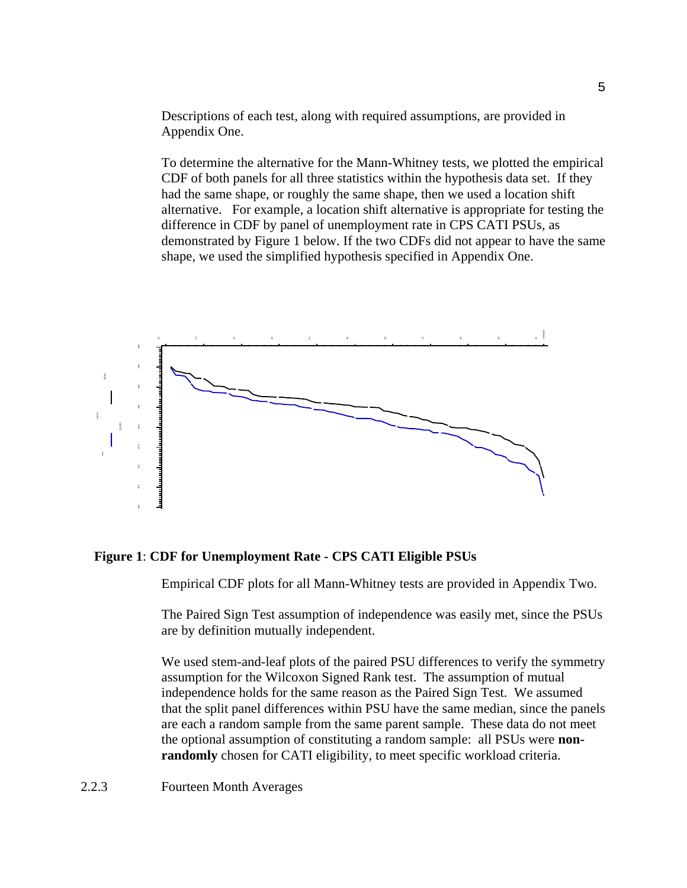Descriptions of each test, along with required assumptions, are provided in Appendix One.

To determine the alternative for the Mann-Whitney tests, we plotted the empirical CDF of both panels for all three statistics within the hypothesis data set. If they had the same shape, or roughly the same shape, then we used a location shift alternative. For example, a location shift alternative is appropriate for testing the difference in CDF by panel of unemployment rate in CPS CATI PSUs, as demonstrated by Figure 1 below. If the two CDFs did not appear to have the same shape, we used the simplified hypothesis specified in Appendix One.



## **Figure 1**: **CDF for Unemployment Rate - CPS CATI Eligible PSUs**

Empirical CDF plots for all Mann-Whitney tests are provided in Appendix Two.

The Paired Sign Test assumption of independence was easily met, since the PSUs are by definition mutually independent.

We used stem-and-leaf plots of the paired PSU differences to verify the symmetry assumption for the Wilcoxon Signed Rank test. The assumption of mutual independence holds for the same reason as the Paired Sign Test. We assumed that the split panel differences within PSU have the same median, since the panels are each a random sample from the same parent sample. These data do not meet the optional assumption of constituting a random sample: all PSUs were **nonrandomly** chosen for CATI eligibility, to meet specific workload criteria.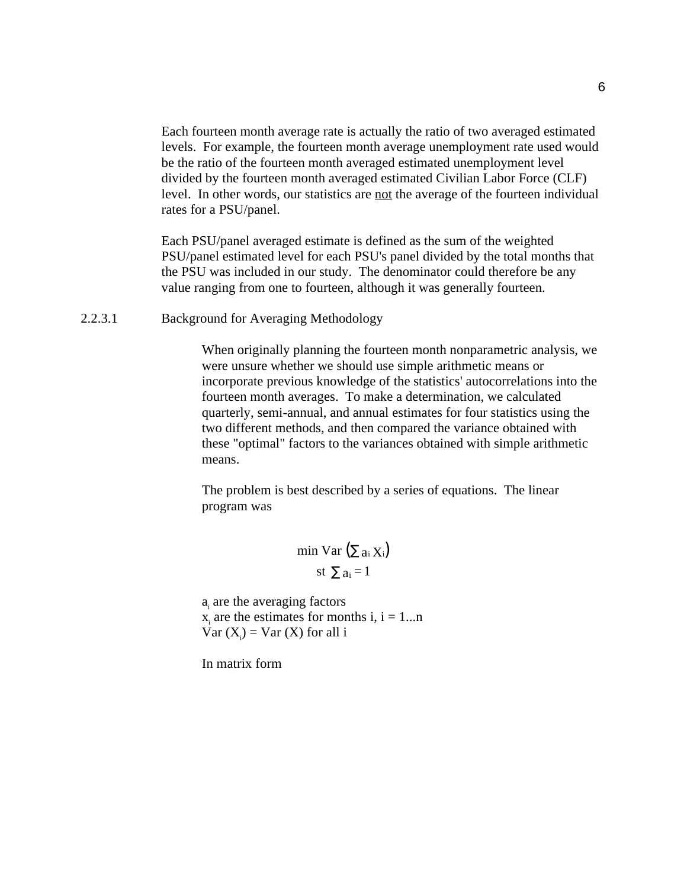Each fourteen month average rate is actually the ratio of two averaged estimated levels. For example, the fourteen month average unemployment rate used would be the ratio of the fourteen month averaged estimated unemployment level divided by the fourteen month averaged estimated Civilian Labor Force (CLF) level. In other words, our statistics are not the average of the fourteen individual rates for a PSU/panel.

Each PSU/panel averaged estimate is defined as the sum of the weighted PSU/panel estimated level for each PSU's panel divided by the total months that the PSU was included in our study. The denominator could therefore be any value ranging from one to fourteen, although it was generally fourteen.

2.2.3.1 Background for Averaging Methodology

When originally planning the fourteen month nonparametric analysis, we were unsure whether we should use simple arithmetic means or incorporate previous knowledge of the statistics' autocorrelations into the fourteen month averages. To make a determination, we calculated quarterly, semi-annual, and annual estimates for four statistics using the two different methods, and then compared the variance obtained with these "optimal" factors to the variances obtained with simple arithmetic means.

The problem is best described by a series of equations. The linear program was

$$
\min \text{Var} (\sum a_i X_i)
$$
  
st  $\sum a_i = 1$ 

 $a_i$  are the averaging factors  $x_i$  are the estimates for months i, i = 1...n  $Var(X_i) = Var(X)$  for all i

In matrix form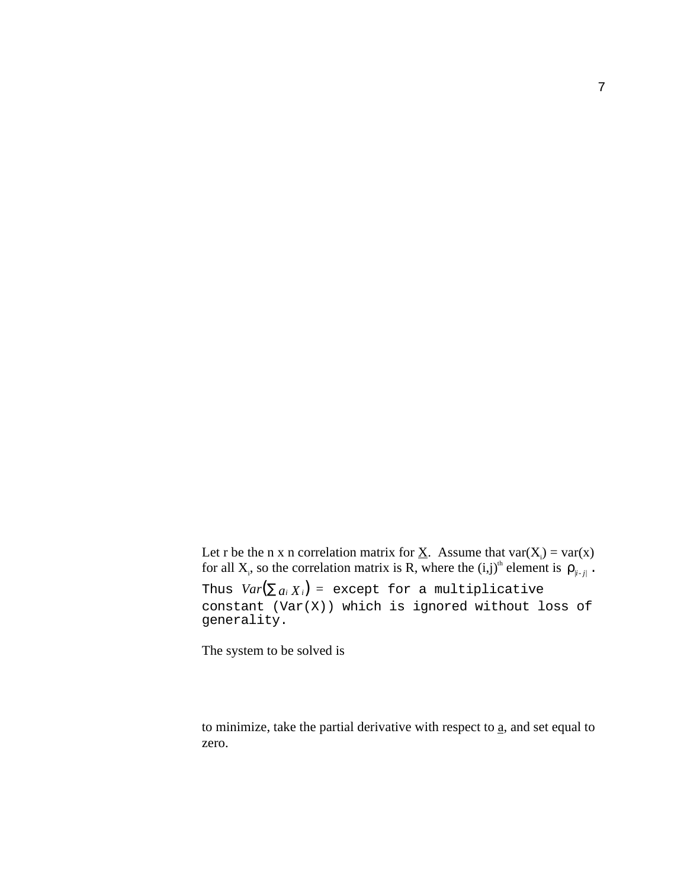Let r be the n x n correlation matrix for <u>X</u>. Assume that  $var(X_i) = var(x)$ for all X<sub>i</sub>, so the correlation matrix is R, where the  $(i,j)^{th}$  element is  $\rho_{i+j}$ .

Thus  $Var(\sum a_i X_i)$  = except for a multiplicative constant  $(Var(X))$  which is ignored without loss of generality.

The system to be solved is

to minimize, take the partial derivative with respect to  $a$ , and set equal to zero.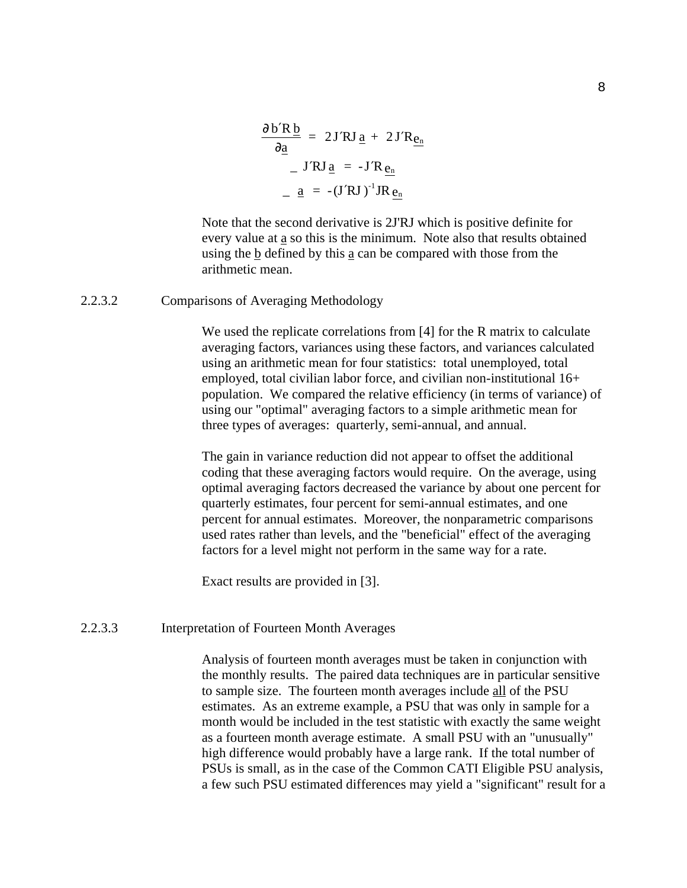$$
\frac{\partial b'R\underline{b}}{\partial \underline{a}} = 2J'RJ \underline{a} + 2J'R\underline{e_n}
$$
  

$$
- J'RJ \underline{a} = -J'R \underline{e_n}
$$
  

$$
- \underline{a} = -(J'RJ)^{-1}JR \underline{e_n}
$$

Note that the second derivative is 2J'RJ which is positive definite for every value at a so this is the minimum. Note also that results obtained using the b defined by this a can be compared with those from the arithmetic mean.

2.2.3.2 Comparisons of Averaging Methodology

We used the replicate correlations from [4] for the R matrix to calculate averaging factors, variances using these factors, and variances calculated using an arithmetic mean for four statistics: total unemployed, total employed, total civilian labor force, and civilian non-institutional 16+ population. We compared the relative efficiency (in terms of variance) of using our "optimal" averaging factors to a simple arithmetic mean for three types of averages: quarterly, semi-annual, and annual.

The gain in variance reduction did not appear to offset the additional coding that these averaging factors would require. On the average, using optimal averaging factors decreased the variance by about one percent for quarterly estimates, four percent for semi-annual estimates, and one percent for annual estimates. Moreover, the nonparametric comparisons used rates rather than levels, and the "beneficial" effect of the averaging factors for a level might not perform in the same way for a rate.

Exact results are provided in [3].

## 2.2.3.3 Interpretation of Fourteen Month Averages

Analysis of fourteen month averages must be taken in conjunction with the monthly results. The paired data techniques are in particular sensitive to sample size. The fourteen month averages include all of the PSU estimates. As an extreme example, a PSU that was only in sample for a month would be included in the test statistic with exactly the same weight as a fourteen month average estimate. A small PSU with an "unusually" high difference would probably have a large rank. If the total number of PSUs is small, as in the case of the Common CATI Eligible PSU analysis, a few such PSU estimated differences may yield a "significant" result for a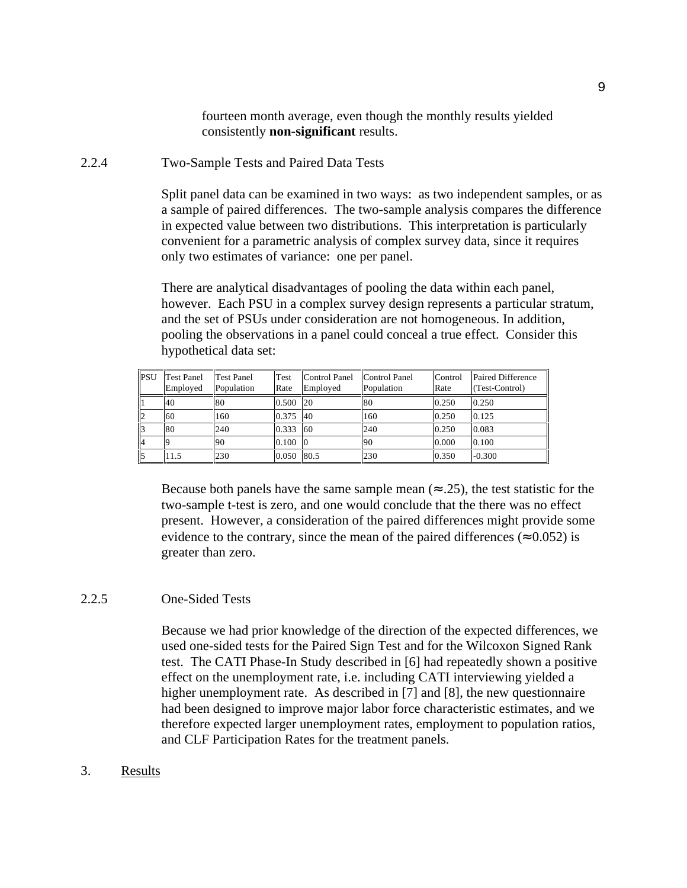fourteen month average, even though the monthly results yielded consistently **non-significant** results.

2.2.4 Two-Sample Tests and Paired Data Tests

Split panel data can be examined in two ways: as two independent samples, or as a sample of paired differences. The two-sample analysis compares the difference in expected value between two distributions. This interpretation is particularly convenient for a parametric analysis of complex survey data, since it requires only two estimates of variance: one per panel.

There are analytical disadvantages of pooling the data within each panel, however. Each PSU in a complex survey design represents a particular stratum, and the set of PSUs under consideration are not homogeneous. In addition, pooling the observations in a panel could conceal a true effect. Consider this hypothetical data set:

| PSU | <b>Test Panel</b><br>Employed | <b>Test Panel</b><br>Population | <b>Test</b><br>Rate | Control Panel<br>Emploved | Control Panel<br>Population | Control<br>Rate | Paired Difference<br>(Test-Control) |
|-----|-------------------------------|---------------------------------|---------------------|---------------------------|-----------------------------|-----------------|-------------------------------------|
|     | 40                            | 80                              | 0.500               | <b>20</b>                 | 80                          | 0.250           | 0.250                               |
| 2   | 60                            | 160                             | 0.375               | <b>40</b>                 | 160                         | 0.250           | 0.125                               |
| 3   | 80                            | 240                             | 0.333               | 60                        | 240                         | 0.250           | 0.083                               |
| 4   |                               | 90                              | 0.100               | -10                       | 90                          | 0.000           | 0.100                               |
| 5   | 11.5                          | 230                             | 0.050               | 80.5                      | 230                         | 0.350           | $-0.300$                            |

Because both panels have the same sample mean ( $\approx$  .25), the test statistic for the two-sample t-test is zero, and one would conclude that the there was no effect present. However, a consideration of the paired differences might provide some evidence to the contrary, since the mean of the paired differences ( $\approx 0.052$ ) is greater than zero.

## 2.2.5 One-Sided Tests

Because we had prior knowledge of the direction of the expected differences, we used one-sided tests for the Paired Sign Test and for the Wilcoxon Signed Rank test. The CATI Phase-In Study described in [6] had repeatedly shown a positive effect on the unemployment rate, i.e. including CATI interviewing yielded a higher unemployment rate. As described in [7] and [8], the new questionnaire had been designed to improve major labor force characteristic estimates, and we therefore expected larger unemployment rates, employment to population ratios, and CLF Participation Rates for the treatment panels.

3. Results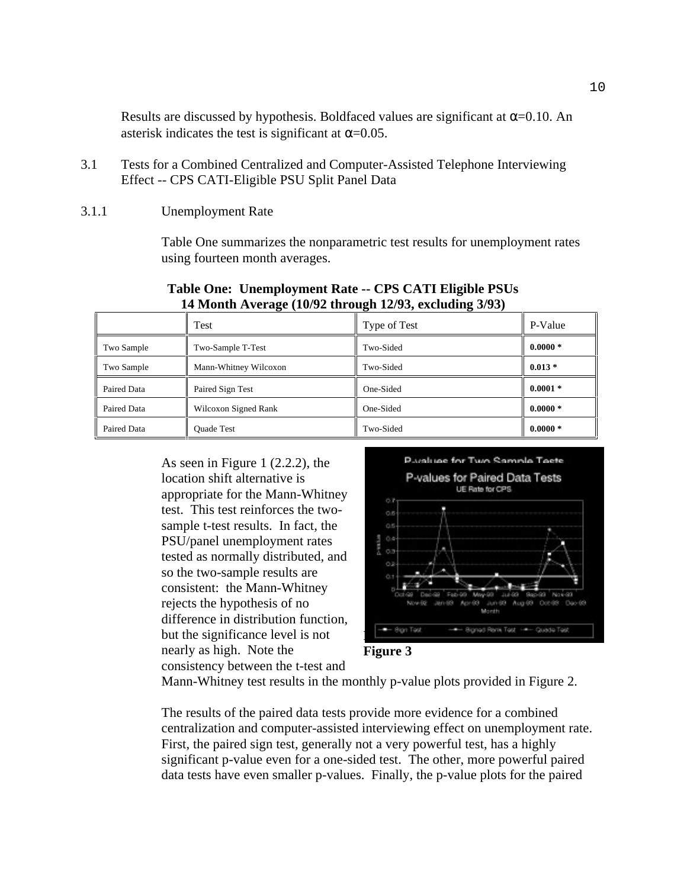Results are discussed by hypothesis. Boldfaced values are significant at  $\alpha$ =0.10. An asterisk indicates the test is significant at  $\alpha$ =0.05.

- 3.1 Tests for a Combined Centralized and Computer-Assisted Telephone Interviewing Effect -- CPS CATI-Eligible PSU Split Panel Data
- 3.1.1 Unemployment Rate

Table One summarizes the nonparametric test results for unemployment rates using fourteen month averages.

| 1 From the couple $(10/2)$ and $(0/2)$ and $(0/2)$ $(0/2)$ |                       |              |            |  |
|------------------------------------------------------------|-----------------------|--------------|------------|--|
|                                                            | Test                  | Type of Test | P-Value    |  |
| Two Sample                                                 | Two-Sample T-Test     | Two-Sided    | $0.0000*$  |  |
| Two Sample                                                 | Mann-Whitney Wilcoxon | Two-Sided    | $0.013*$   |  |
| Paired Data                                                | Paired Sign Test      | One-Sided    | $0.0001 *$ |  |
| Paired Data                                                | Wilcoxon Signed Rank  | One-Sided    | $0.0000*$  |  |
| Paired Data                                                | <b>Ouade Test</b>     | Two-Sided    | $0.0000*$  |  |

**Table One: Unemployment Rate -- CPS CATI Eligible PSUs 14 Month Average (10/92 through 12/93, excluding 3/93)**

As seen in Figure 1 (2.2.2), the location shift alternative is appropriate for the Mann-Whitney test. This test reinforces the twosample t-test results. In fact, the PSU/panel unemployment rates tested as normally distributed, and so the two-sample results are consistent: the Mann-Whitney rejects the hypothesis of no difference in distribution function, but the significance level is not nearly as high. Note the consistency between the t-test and





Mann-Whitney test results in the monthly p-value plots provided in Figure 2.

The results of the paired data tests provide more evidence for a combined centralization and computer-assisted interviewing effect on unemployment rate. First, the paired sign test, generally not a very powerful test, has a highly significant p-value even for a one-sided test. The other, more powerful paired data tests have even smaller p-values. Finally, the p-value plots for the paired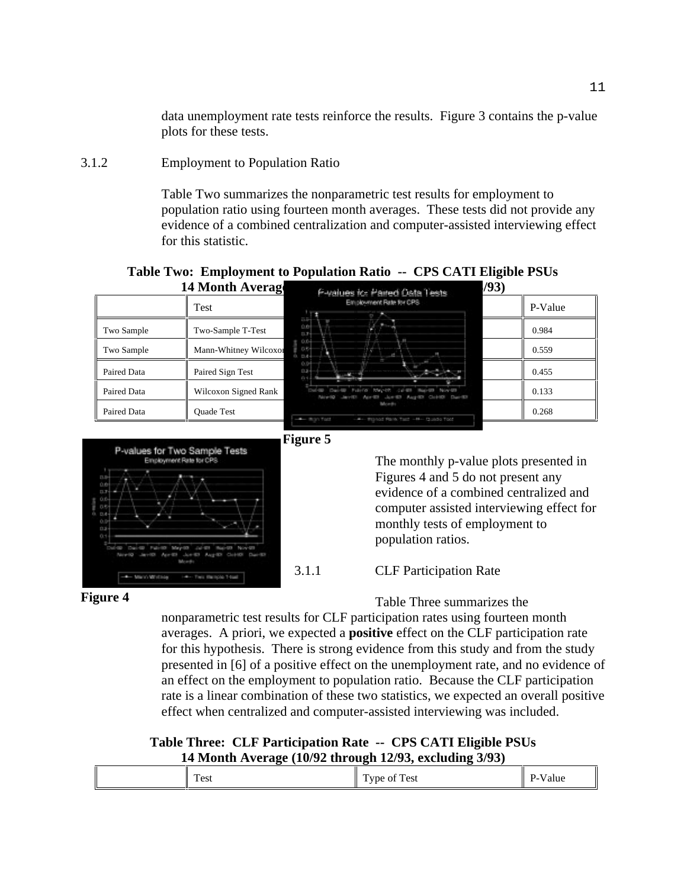data unemployment rate tests reinforce the results. Figure 3 contains the p-value plots for these tests.

3.1.2 Employment to Population Ratio

Table Two summarizes the nonparametric test results for employment to population ratio using fourteen month averages. These tests did not provide any evidence of a combined centralization and computer-assisted interviewing effect for this statistic.

# **Table Two: Employment to Population Ratio -- CPS CATI Eligible PSUs**







The monthly p-value plots presented in Figures 4 and 5 do not present any evidence of a combined centralized and computer assisted interviewing effect for monthly tests of employment to population ratios.

## **Figure 4**

3.1.1 CLF Participation Rate

Table Three summarizes the

nonparametric test results for CLF participation rates using fourteen month averages. A priori, we expected a **positive** effect on the CLF participation rate for this hypothesis. There is strong evidence from this study and from the study presented in [6] of a positive effect on the unemployment rate, and no evidence of an effect on the employment to population ratio. Because the CLF participation rate is a linear combination of these two statistics, we expected an overall positive effect when centralized and computer-assisted interviewing was included.

## **Table Three: CLF Participation Rate -- CPS CATI Eligible PSUs 14 Month Average (10/92 through 12/93, excluding 3/93)**

| $\sim$<br>$\sim$<br>Test<br>Test<br>Value<br>V <sub>0</sub><br>Ωt |
|-------------------------------------------------------------------|
|-------------------------------------------------------------------|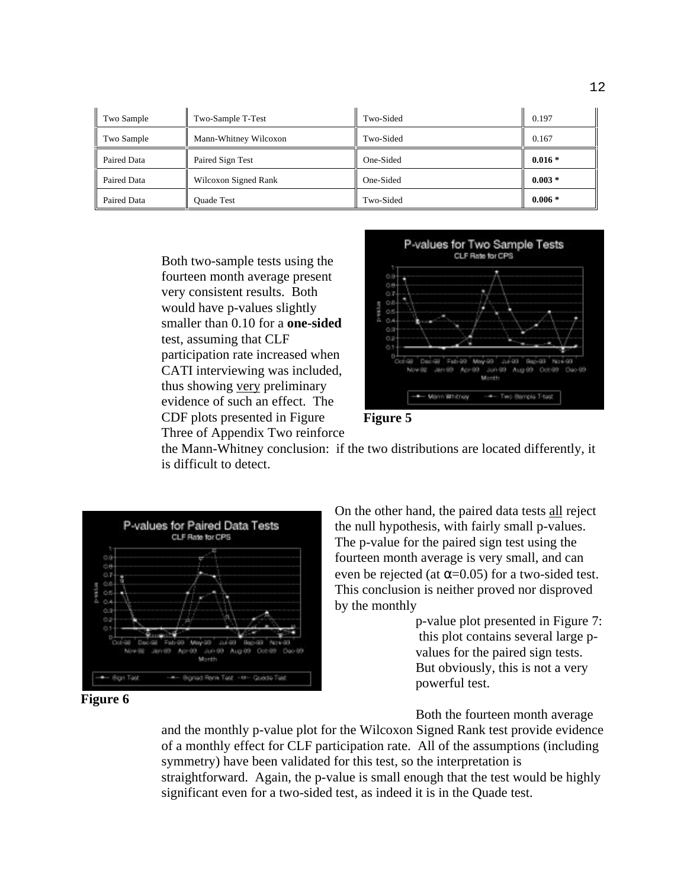| Two Sample  | Two-Sample T-Test     | Two-Sided | 0.197    |
|-------------|-----------------------|-----------|----------|
| Two Sample  | Mann-Whitney Wilcoxon | Two-Sided | 0.167    |
| Paired Data | Paired Sign Test      | One-Sided | $0.016*$ |
| Paired Data | Wilcoxon Signed Rank  | One-Sided | $0.003*$ |
| Paired Data | <b>Ouade Test</b>     | Two-Sided | $0.006*$ |

Both two-sample tests using the fourteen month average present very consistent results. Both would have p-values slightly smaller than 0.10 for a **one-sided** test, assuming that CLF participation rate increased when CATI interviewing was included, thus showing very preliminary evidence of such an effect. The CDF plots presented in Figure Three of Appendix Two reinforce





the Mann-Whitney conclusion: if the two distributions are located differently, it is difficult to detect.



**Figure 6**

On the other hand, the paired data tests all reject the null hypothesis, with fairly small p-values. The p-value for the paired sign test using the fourteen month average is very small, and can even be rejected (at  $\alpha$ =0.05) for a two-sided test. This conclusion is neither proved nor disproved by the monthly

> p-value plot presented in Figure 7: this plot contains several large pvalues for the paired sign tests. But obviously, this is not a very powerful test.

Both the fourteen month average

and the monthly p-value plot for the Wilcoxon Signed Rank test provide evidence of a monthly effect for CLF participation rate. All of the assumptions (including symmetry) have been validated for this test, so the interpretation is straightforward. Again, the p-value is small enough that the test would be highly significant even for a two-sided test, as indeed it is in the Quade test.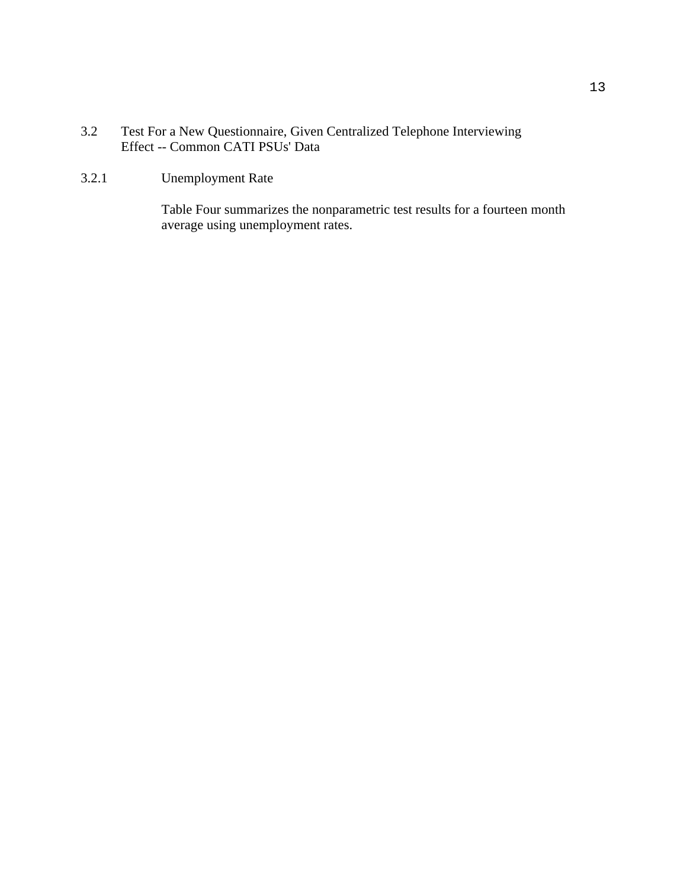- 3.2 Test For a New Questionnaire, Given Centralized Telephone Interviewing Effect -- Common CATI PSUs' Data
- 3.2.1 Unemployment Rate

Table Four summarizes the nonparametric test results for a fourteen month average using unemployment rates.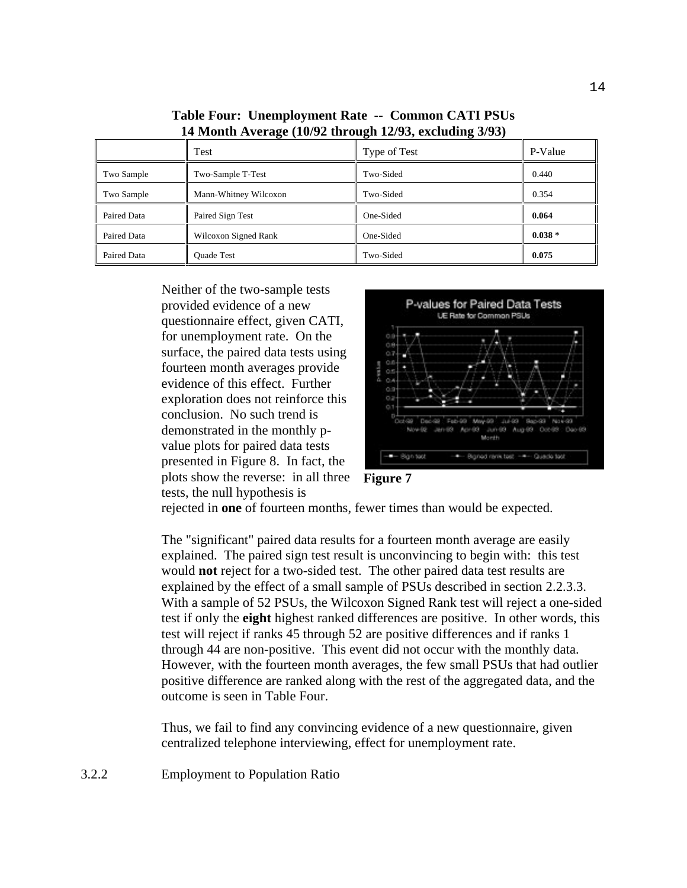|             | Test                  | Type of Test | P-Value   |
|-------------|-----------------------|--------------|-----------|
| Two Sample  | Two-Sample T-Test     | Two-Sided    | 0.440     |
| Two Sample  | Mann-Whitney Wilcoxon | Two-Sided    | 0.354     |
| Paired Data | Paired Sign Test      | One-Sided    | 0.064     |
| Paired Data | Wilcoxon Signed Rank  | One-Sided    | $0.038 *$ |
| Paired Data | <b>Ouade Test</b>     | Two-Sided    | 0.075     |

**Table Four: Unemployment Rate -- Common CATI PSUs 14 Month Average (10/92 through 12/93, excluding 3/93)**

Neither of the two-sample tests provided evidence of a new questionnaire effect, given CATI, for unemployment rate. On the surface, the paired data tests using fourteen month averages provide evidence of this effect. Further exploration does not reinforce this conclusion. No such trend is demonstrated in the monthly pvalue plots for paired data tests presented in Figure 8. In fact, the plots show the reverse: in all three tests, the null hypothesis is



**Figure 7**

rejected in **one** of fourteen months, fewer times than would be expected.

The "significant" paired data results for a fourteen month average are easily explained. The paired sign test result is unconvincing to begin with: this test would **not** reject for a two-sided test. The other paired data test results are explained by the effect of a small sample of PSUs described in section 2.2.3.3. With a sample of 52 PSUs, the Wilcoxon Signed Rank test will reject a one-sided test if only the **eight** highest ranked differences are positive. In other words, this test will reject if ranks 45 through 52 are positive differences and if ranks 1 through 44 are non-positive. This event did not occur with the monthly data. However, with the fourteen month averages, the few small PSUs that had outlier positive difference are ranked along with the rest of the aggregated data, and the outcome is seen in Table Four.

Thus, we fail to find any convincing evidence of a new questionnaire, given centralized telephone interviewing, effect for unemployment rate.

3.2.2 Employment to Population Ratio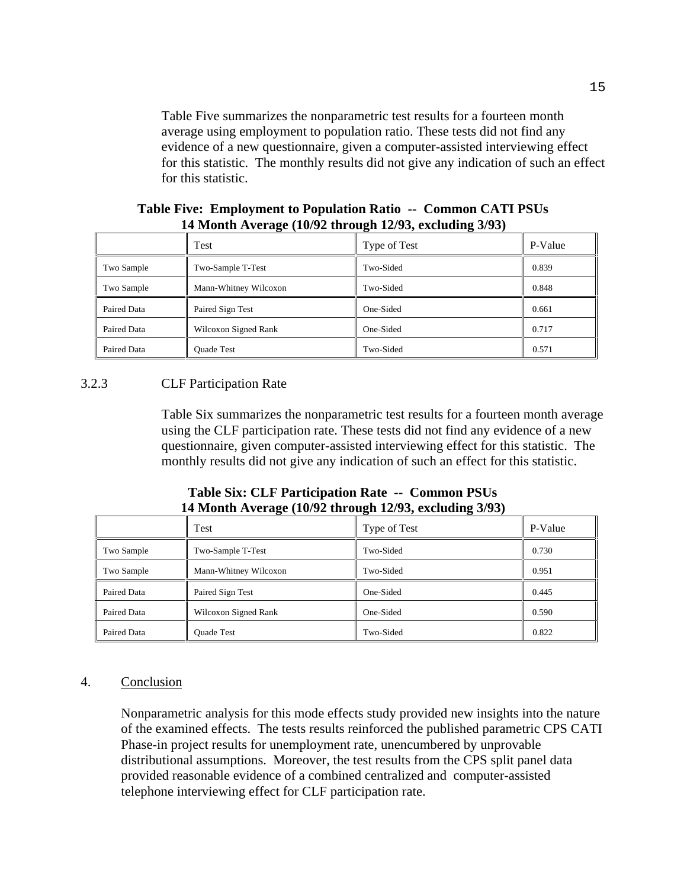Table Five summarizes the nonparametric test results for a fourteen month average using employment to population ratio. These tests did not find any evidence of a new questionnaire, given a computer-assisted interviewing effect for this statistic. The monthly results did not give any indication of such an effect for this statistic.

|             | Test                  | Type of Test | P-Value |
|-------------|-----------------------|--------------|---------|
| Two Sample  | Two-Sample T-Test     | Two-Sided    | 0.839   |
| Two Sample  | Mann-Whitney Wilcoxon | Two-Sided    | 0.848   |
| Paired Data | Paired Sign Test      | One-Sided    | 0.661   |
| Paired Data | Wilcoxon Signed Rank  | One-Sided    | 0.717   |
| Paired Data | <b>Ouade Test</b>     | Two-Sided    | 0.571   |

**Table Five: Employment to Population Ratio -- Common CATI PSUs 14 Month Average (10/92 through 12/93, excluding 3/93)**

## 3.2.3 CLF Participation Rate

Table Six summarizes the nonparametric test results for a fourteen month average using the CLF participation rate. These tests did not find any evidence of a new questionnaire, given computer-assisted interviewing effect for this statistic. The monthly results did not give any indication of such an effect for this statistic.

| Table Six: CLF Participation Rate -- Common PSUs       |
|--------------------------------------------------------|
| 14 Month Average (10/92 through 12/93, excluding 3/93) |

|             | Test                  | Type of Test | P-Value |
|-------------|-----------------------|--------------|---------|
| Two Sample  | Two-Sample T-Test     | Two-Sided    | 0.730   |
| Two Sample  | Mann-Whitney Wilcoxon | Two-Sided    | 0.951   |
| Paired Data | Paired Sign Test      | One-Sided    | 0.445   |
| Paired Data | Wilcoxon Signed Rank  | One-Sided    | 0.590   |
| Paired Data | <b>Ouade Test</b>     | Two-Sided    | 0.822   |

## 4. Conclusion

Nonparametric analysis for this mode effects study provided new insights into the nature of the examined effects. The tests results reinforced the published parametric CPS CATI Phase-in project results for unemployment rate, unencumbered by unprovable distributional assumptions. Moreover, the test results from the CPS split panel data provided reasonable evidence of a combined centralized and computer-assisted telephone interviewing effect for CLF participation rate.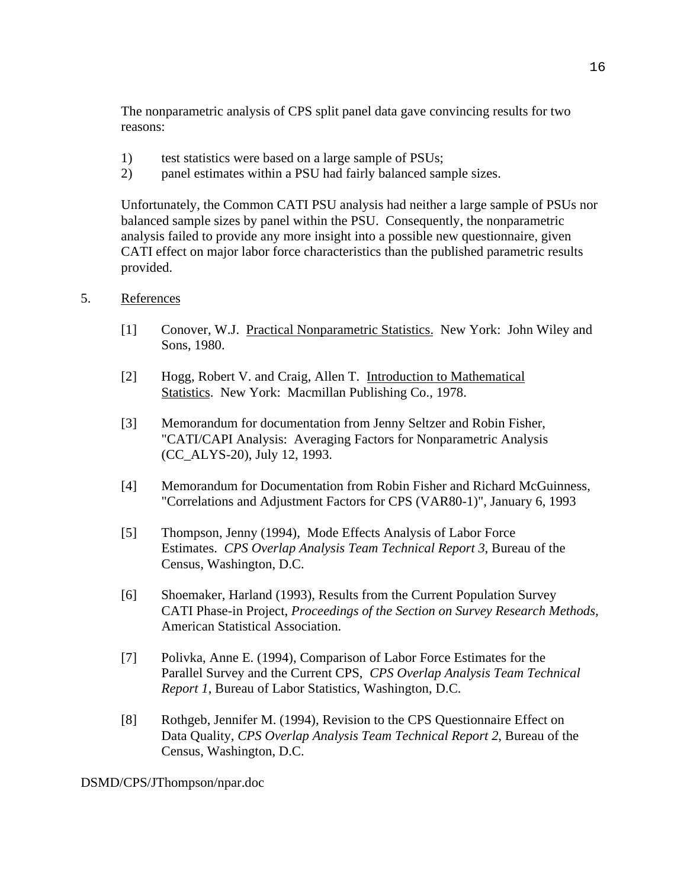The nonparametric analysis of CPS split panel data gave convincing results for two reasons:

- 1) test statistics were based on a large sample of PSUs;
- 2) panel estimates within a PSU had fairly balanced sample sizes.

Unfortunately, the Common CATI PSU analysis had neither a large sample of PSUs nor balanced sample sizes by panel within the PSU. Consequently, the nonparametric analysis failed to provide any more insight into a possible new questionnaire, given CATI effect on major labor force characteristics than the published parametric results provided.

## 5. References

- [1] Conover, W.J. Practical Nonparametric Statistics. New York: John Wiley and Sons, 1980.
- [2] Hogg, Robert V. and Craig, Allen T. Introduction to Mathematical Statistics. New York: Macmillan Publishing Co., 1978.
- [3] Memorandum for documentation from Jenny Seltzer and Robin Fisher, "CATI/CAPI Analysis: Averaging Factors for Nonparametric Analysis (CC\_ALYS-20), July 12, 1993.
- [4] Memorandum for Documentation from Robin Fisher and Richard McGuinness, "Correlations and Adjustment Factors for CPS (VAR80-1)", January 6, 1993
- [5] Thompson, Jenny (1994), Mode Effects Analysis of Labor Force Estimates. *CPS Overlap Analysis Team Technical Report 3*, Bureau of the Census, Washington, D.C.
- [6] Shoemaker, Harland (1993), Results from the Current Population Survey CATI Phase-in Project, *Proceedings of the Section on Survey Research Methods,* American Statistical Association.
- [7] Polivka, Anne E. (1994), Comparison of Labor Force Estimates for the Parallel Survey and the Current CPS, *CPS Overlap Analysis Team Technical Report 1*, Bureau of Labor Statistics, Washington, D.C.
- [8] Rothgeb, Jennifer M. (1994), Revision to the CPS Questionnaire Effect on Data Quality, *CPS Overlap Analysis Team Technical Report 2*, Bureau of the Census, Washington, D.C.

DSMD/CPS/JThompson/npar.doc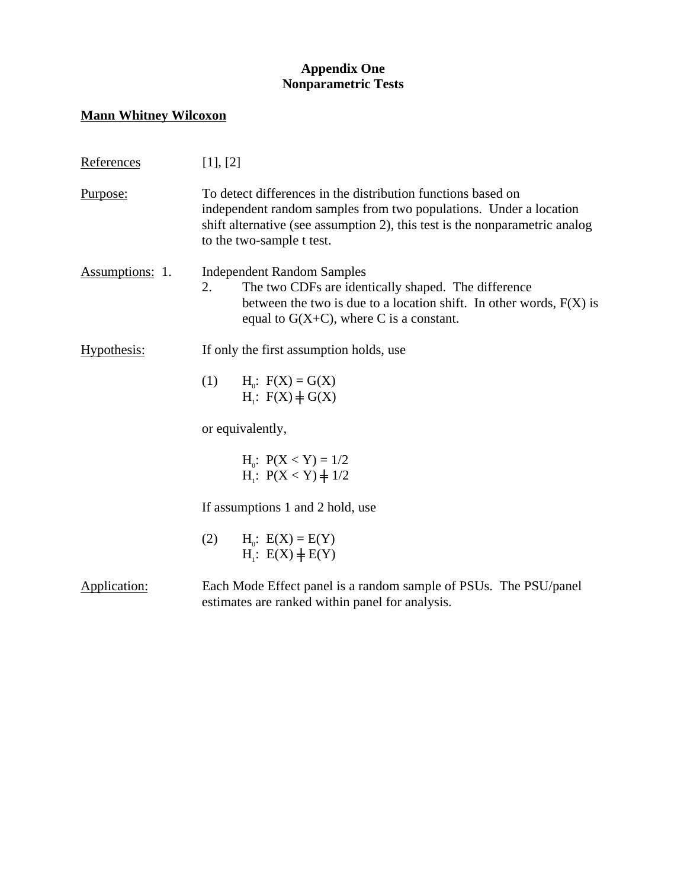## **Appendix One Nonparametric Tests**

## **Mann Whitney Wilcoxon**

| References             | [1], [2]                                                                                                                                                                                                                                      |  |  |
|------------------------|-----------------------------------------------------------------------------------------------------------------------------------------------------------------------------------------------------------------------------------------------|--|--|
| Purpose:               | To detect differences in the distribution functions based on<br>independent random samples from two populations. Under a location<br>shift alternative (see assumption 2), this test is the nonparametric analog<br>to the two-sample t test. |  |  |
| <b>Assumptions: 1.</b> | <b>Independent Random Samples</b><br>The two CDFs are identically shaped. The difference<br>2.<br>between the two is due to a location shift. In other words, $F(X)$ is<br>equal to $G(X+C)$ , where C is a constant.                         |  |  |
| Hypothesis:            | If only the first assumption holds, use                                                                                                                                                                                                       |  |  |
|                        | (1)<br>$H_0$ : $F(X) = G(X)$<br>$H_1: F(X) \neq G(X)$                                                                                                                                                                                         |  |  |
|                        | or equivalently,                                                                                                                                                                                                                              |  |  |
|                        | $H_0$ : $P(X < Y) = 1/2$<br>$H_i$ : $P(X < Y) \neq 1/2$                                                                                                                                                                                       |  |  |
|                        | If assumptions 1 and 2 hold, use                                                                                                                                                                                                              |  |  |
|                        | (2)<br>$H_0$ : $E(X) = E(Y)$<br>$H_1: E(X) \neq E(Y)$                                                                                                                                                                                         |  |  |
| Application:           | Each Mode Effect panel is a random sample of PSUs. The PSU/panel<br>estimates are ranked within panel for analysis.                                                                                                                           |  |  |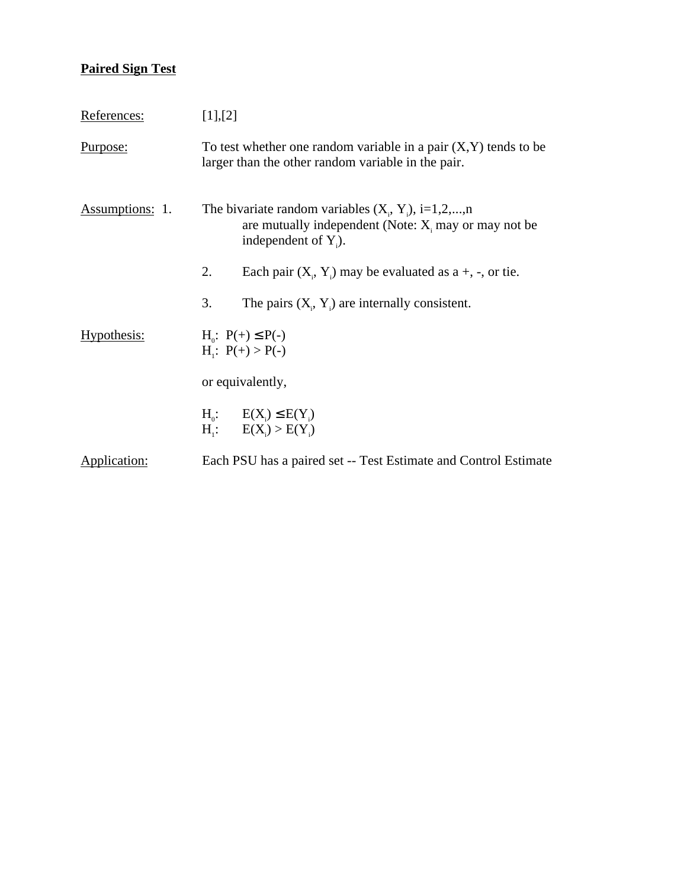# **Paired Sign Test**

| References:            | [1],[2]                                                                                                                                      |  |  |
|------------------------|----------------------------------------------------------------------------------------------------------------------------------------------|--|--|
| <u>Purpose:</u>        | To test whether one random variable in a pair $(X, Y)$ tends to be<br>larger than the other random variable in the pair.                     |  |  |
| <b>Assumptions: 1.</b> | The bivariate random variables $(X_1, Y_1)$ , i=1,2,,n<br>are mutually independent (Note: $X_i$ may or may not be<br>independent of $Y_i$ ). |  |  |
|                        | 2.<br>Each pair $(X_i, Y_i)$ may be evaluated as a +, -, or tie.                                                                             |  |  |
|                        | 3.<br>The pairs $(X_i, Y_i)$ are internally consistent.                                                                                      |  |  |
| Hypothesis:            | $H_0$ : $P(+) \le P(-)$<br>$H_i$ : $P(+) > P(-)$                                                                                             |  |  |
|                        | or equivalently,                                                                                                                             |  |  |
|                        | $H_0: E(X_i) \leq E(Y_i)$<br>$H_i$ : $E(X_i) > E(Y_i)$                                                                                       |  |  |
| Application:           | Each PSU has a paired set -- Test Estimate and Control Estimate                                                                              |  |  |
|                        |                                                                                                                                              |  |  |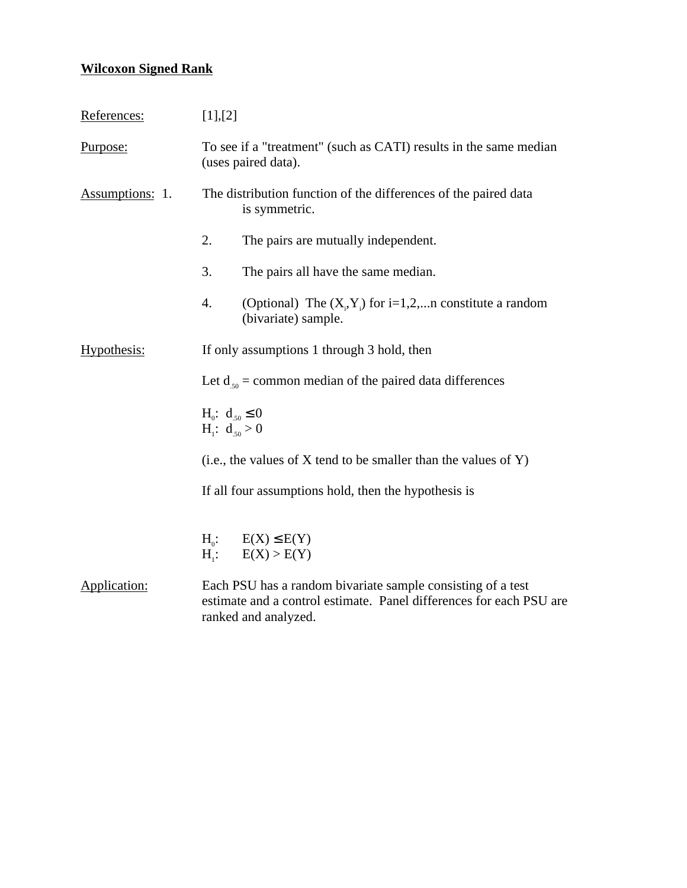## **Wilcoxon Signed Rank**

| References:                                                                                                                                                                | [1],[2]                                                                                  |  |  |
|----------------------------------------------------------------------------------------------------------------------------------------------------------------------------|------------------------------------------------------------------------------------------|--|--|
| Purpose:                                                                                                                                                                   | To see if a "treatment" (such as CATI) results in the same median<br>(uses paired data). |  |  |
| Assumptions: 1.                                                                                                                                                            | The distribution function of the differences of the paired data<br>is symmetric.         |  |  |
|                                                                                                                                                                            | 2.<br>The pairs are mutually independent.                                                |  |  |
|                                                                                                                                                                            | 3.<br>The pairs all have the same median.                                                |  |  |
|                                                                                                                                                                            | 4.<br>(Optional) The $(X_i, Y_i)$ for i=1,2,n constitute a random<br>(bivariate) sample. |  |  |
| Hypothesis:                                                                                                                                                                | If only assumptions 1 through 3 hold, then                                               |  |  |
|                                                                                                                                                                            | Let $d_{50}$ = common median of the paired data differences                              |  |  |
|                                                                                                                                                                            | $H_0$ : $d_{50} \le 0$<br>$H_i$ : $d_{50} > 0$                                           |  |  |
|                                                                                                                                                                            | (i.e., the values of $X$ tend to be smaller than the values of $Y$ )                     |  |  |
|                                                                                                                                                                            | If all four assumptions hold, then the hypothesis is                                     |  |  |
|                                                                                                                                                                            | $H_0$ : $E(X) \le E(Y)$<br>$H_i$ : $E(X) > E(Y)$                                         |  |  |
| Application:<br>Each PSU has a random bivariate sample consisting of a test<br>estimate and a control estimate. Panel differences for each PSU are<br>ranked and analyzed. |                                                                                          |  |  |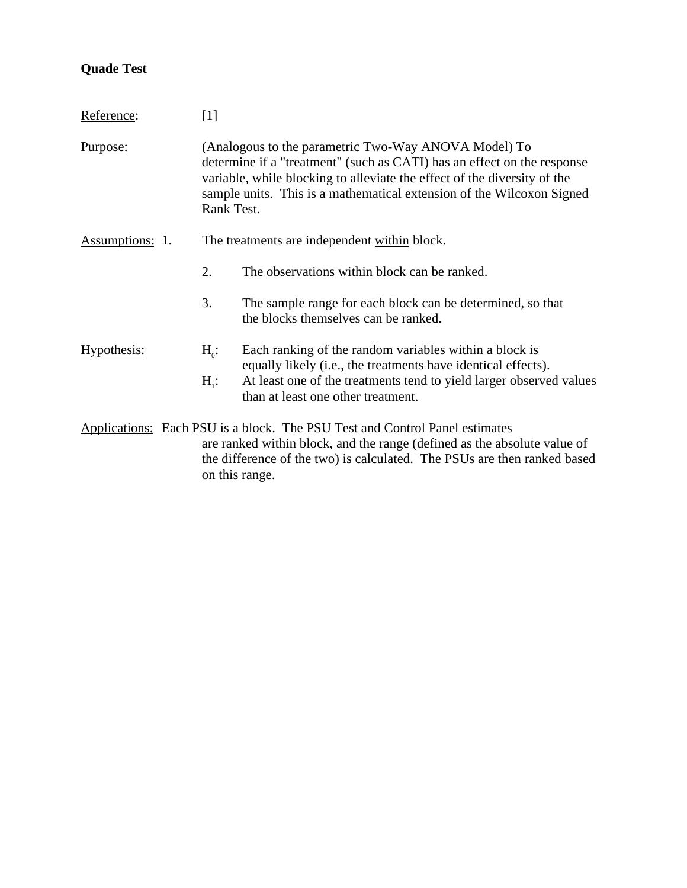## **Quade Test**

| Reference:                                                             | $[1]$                                                                                                                                                                                                                                                                                              |                                                                                                                         |  |
|------------------------------------------------------------------------|----------------------------------------------------------------------------------------------------------------------------------------------------------------------------------------------------------------------------------------------------------------------------------------------------|-------------------------------------------------------------------------------------------------------------------------|--|
| <u>Purpose:</u>                                                        | (Analogous to the parametric Two-Way ANOVA Model) To<br>determine if a "treatment" (such as CATI) has an effect on the response<br>variable, while blocking to alleviate the effect of the diversity of the<br>sample units. This is a mathematical extension of the Wilcoxon Signed<br>Rank Test. |                                                                                                                         |  |
| <b>Assumptions: 1.</b><br>The treatments are independent within block. |                                                                                                                                                                                                                                                                                                    |                                                                                                                         |  |
|                                                                        | 2.                                                                                                                                                                                                                                                                                                 | The observations within block can be ranked.                                                                            |  |
|                                                                        | 3.                                                                                                                                                                                                                                                                                                 | The sample range for each block can be determined, so that<br>the blocks themselves can be ranked.                      |  |
| Hypothesis:                                                            | $H_0$ :                                                                                                                                                                                                                                                                                            | Each ranking of the random variables within a block is<br>equally likely (i.e., the treatments have identical effects). |  |
|                                                                        | $H_i$ :                                                                                                                                                                                                                                                                                            | At least one of the treatments tend to yield larger observed values<br>than at least one other treatment.               |  |
|                                                                        | Applications: Each PSU is a block. The PSU Test and Control Panel estimates<br>are ranked within block, and the range (defined as the absolute value of<br>the difference of the two) is calculated. The PSUs are then ranked based<br>on this range.                                              |                                                                                                                         |  |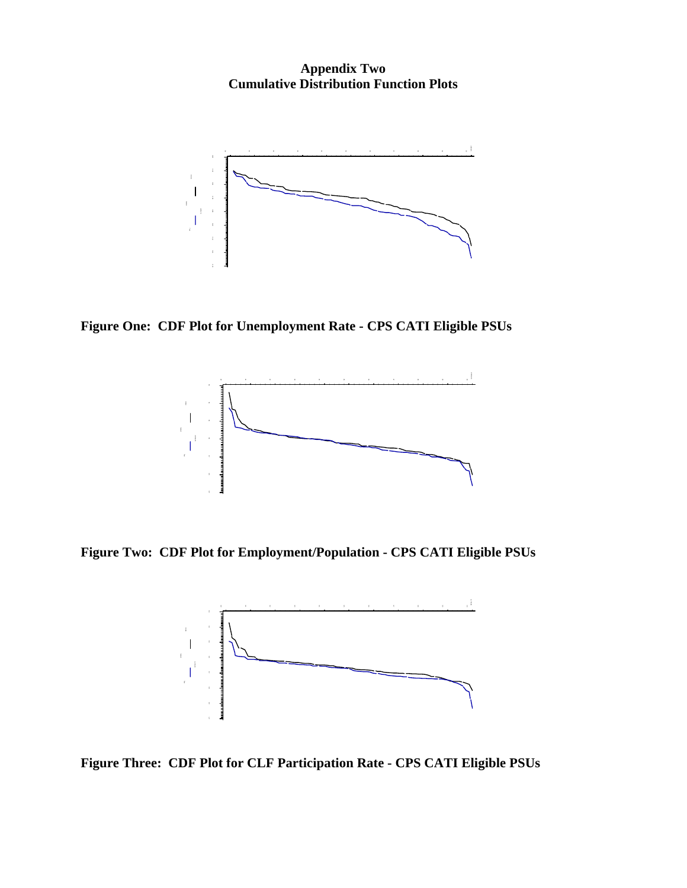**Appendix Two Cumulative Distribution Function Plots**



**Figure One: CDF Plot for Unemployment Rate - CPS CATI Eligible PSUs**



**Figure Two: CDF Plot for Employment/Population - CPS CATI Eligible PSUs**

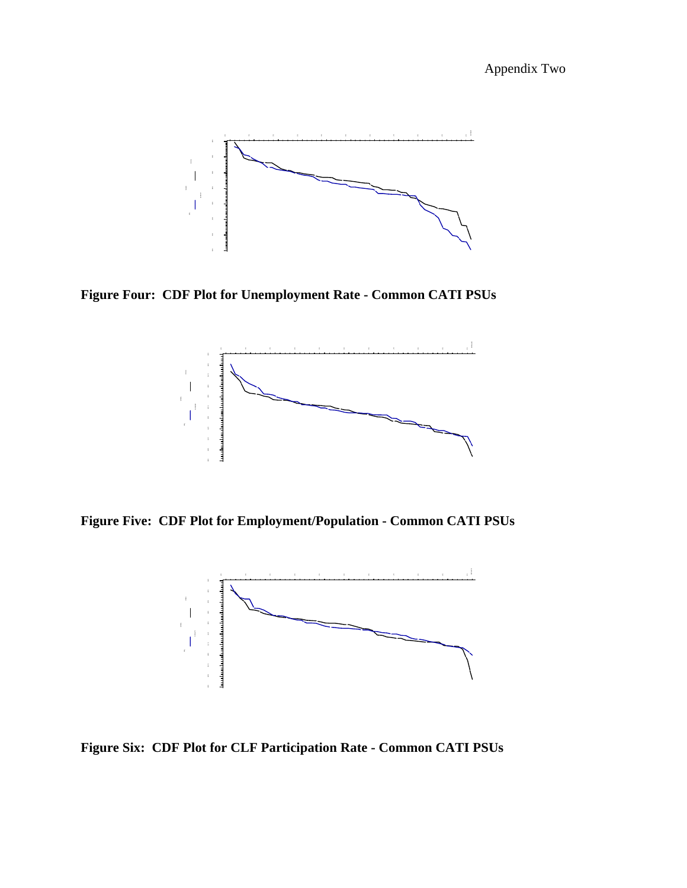Appendix Two



**Figure Four: CDF Plot for Unemployment Rate - Common CATI PSUs**



**Figure Five: CDF Plot for Employment/Population - Common CATI PSUs**

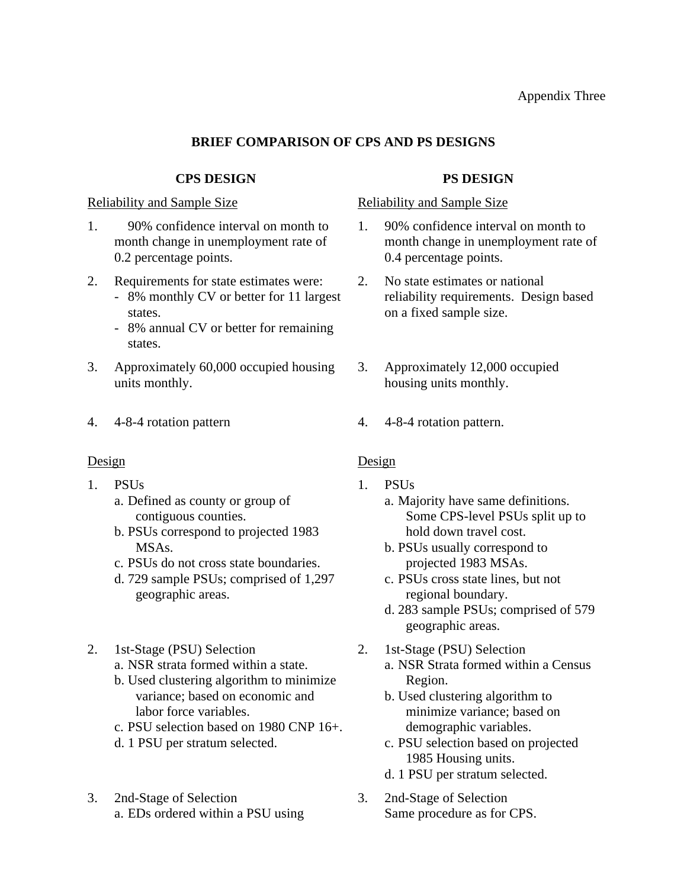## **BRIEF COMPARISON OF CPS AND PS DESIGNS**

## **CPS DESIGN PS DESIGN**

- 1. 90% confidence interval on month to month change in unemployment rate of 0.2 percentage points.
- 2. Requirements for state estimates were:
	- 8% monthly CV or better for 11 largest states.
	- 8% annual CV or better for remaining states.
- 3. Approximately 60,000 occupied housing units monthly.
- 

- 1. PSUs
	- a. Defined as county or group of contiguous counties.
	- b. PSUs correspond to projected 1983 MSAs.
	- c. PSUs do not cross state boundaries.
	- d. 729 sample PSUs; comprised of 1,297 geographic areas.
- 2. 1st-Stage (PSU) Selection
	- a. NSR strata formed within a state.
	- b. Used clustering algorithm to minimize variance; based on economic and labor force variables.
	- c. PSU selection based on 1980 CNP 16+.
	- d. 1 PSU per stratum selected.
- 3. 2nd-Stage of Selection a. EDs ordered within a PSU using

## Reliability and Sample Size Reliability and Sample Size

- 1. 90% confidence interval on month to month change in unemployment rate of 0.4 percentage points.
- 2. No state estimates or national reliability requirements. Design based on a fixed sample size.
- 3. Approximately 12,000 occupied housing units monthly.
- 4. 4-8-4 rotation pattern 4. 4-8-4 rotation pattern.

## Design Design

- 1. PSUs
	- a. Majority have same definitions. Some CPS-level PSUs split up to hold down travel cost.
	- b. PSUs usually correspond to projected 1983 MSAs.
	- c. PSUs cross state lines, but not regional boundary.
	- d. 283 sample PSUs; comprised of 579 geographic areas.
- 2. 1st-Stage (PSU) Selection a. NSR Strata formed within a Census Region.
	- b. Used clustering algorithm to minimize variance; based on demographic variables.
	- c. PSU selection based on projected 1985 Housing units.
	- d. 1 PSU per stratum selected.
- 3. 2nd-Stage of Selection Same procedure as for CPS.